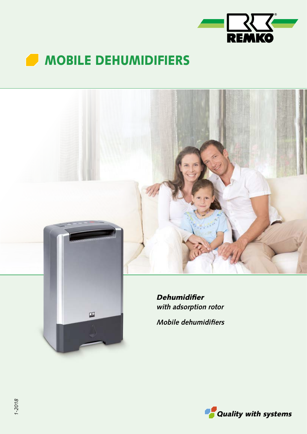



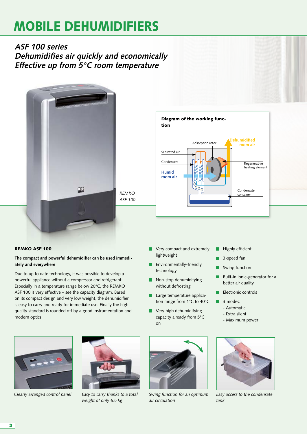**ASF 100 series Dehumidifies air quickly and economically Effective up from 5°C room temperature**



*REMKO ASF 100*

### REMKO ASF 100

# **The compact and powerful dehumidifier can be used immediately and everywhere**

Due to up to date technology, it was possible to develop a powerful appliance without a compressor and refrigerant. Especially in a temperature range below 20°C, the REMKO ASF 100 is very effective – see the capacity diagram. Based on its compact design and very low weight, the dehumidifier is easy to carry and ready for immediate use. Finally the high quality standard is rounded off by a good instrumentation and modern optics.



- Very compact and extremely П lightweight
- **Environmentally-friendly** technology
- Non-stop dehumidifying without defrosting
- Ē Large temperature application range from 1°C to 40°C
- **Very high dehumidifying** capacity already from 5°C on
- Highly efficient П
- 3-speed fan
- Swing function
- Built-in ionic-generator for a  $\blacksquare$ better air quality
- **Electronic controls**
- 3 modes:  $\blacksquare$ 
	- Automatic
	- Extra silent
	- Maximum power





*Easy to carry thanks to a total weight of only 6.5 kg*



*Clearly arranged control panel Swing function for an optimum air circulation*



*Easy access to the condensate tank*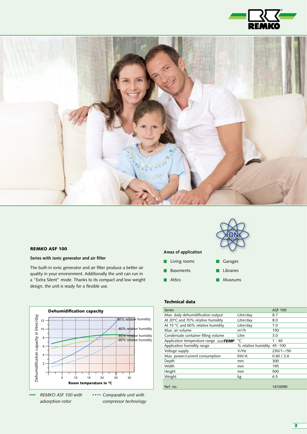



#### REMKO ASF 100

#### **Series with ionic generator and air filter**

The built-in ionic generator and air filter produce a better air quality in your environment. Additionally the unit can run in a "Extra Silent" mode. Thanks to its compact and low weight design, the unit is ready for a flexible use.



*adsorption-rotor compressor technology*

### **Areas of application**

- **Living rooms**
- **Basements**
- **Attics** Museums  $\blacksquare$

# Technical data

| <b>Series</b>                         |                     | <b>ASF 100</b> |
|---------------------------------------|---------------------|----------------|
| Max. daily dehumidification output    | Litre/day           | 8.7            |
| At 20°C and 70% relative humidity     | Litre/day           | 8.0            |
| At 15 °C and 60% relative humidity    | Litre/day           | 7.0            |
| Max. air volume                       | $m^3/h$             | 150            |
| Condensate container filling volume   | Litre               | 3.0            |
| Application temperature range LowTEMP | °C                  | $1 - 40$       |
| Application humidity range            | % relative humidity | 45 - 100       |
| Voltage supply                        | V/Hz                | $230/1 - 750$  |
| Max. power/current consumption        | kW/A                | 0.60 / 2.6     |
| Depth                                 | mm                  | 300            |
| Width                                 | mm                  | 195            |
| Height                                | mm                  | 500            |
| Weight                                | kg                  | 6.5            |
|                                       |                     |                |
| Ref. no.                              |                     | 1610090        |

**ION**

Garages Libraries

 $\blacksquare$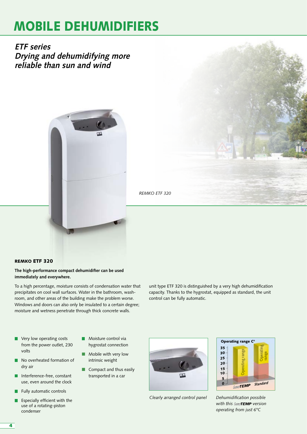**ETF series Drying and dehumidifying more reliable than sun and wind**





# REMKO ETF 320

#### **The high-performance compact dehumidifier can be used immediately and everywhere.**

To a high percentage, moisture consists of condensation water that precipitates on cool wall surfaces. Water in the bathroom, washroom, and other areas of the building make the problem worse. Windows and doors can also only be insulated to a certain degree; moisture and wetness penetrate through thick concrete walls.

unit type ETF 320 is distinguished by a very high dehumidification capacity. Thanks to the hygrostat, equipped as standard, the unit control can be fully automatic.

- **Very low operating costs** from the power outlet, 230 volts
- No overheated formation of г dry air
- Interference-free, constant  $\blacksquare$ use, even around the clock
- Fully automatic controls
- Especially efficient with the use of a rotating-piston condenser
- **Moisture control via** hygrostat connection
- Mobile with very low intrinsic weight
- Compact and thus easily transported in a car



*Clearly arranged control panel* 



*Dehumidification possible*  with this LowTEMP version *operating from just 6°C*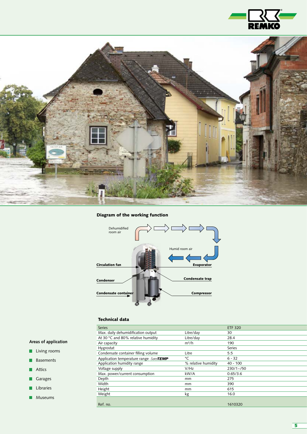



# Diagram of the working function



# Technical data

| <b>Series</b>                         |                     | <b>ETF 320</b> |
|---------------------------------------|---------------------|----------------|
| Max. daily dehumidification output    | Litre/day           | 30             |
| At 30 °C and 80% relative humidity    | Litre/day           | 28.4           |
| Air capacity                          | $m^3/h$             | 190            |
| Hygrostat                             |                     | Series         |
| Condensate container filling volume   | Litre               | 5.5            |
| Application temperature range LowTEMP | °C                  | $6 - 32$       |
| Application humidity range            | % relative humidity | $40 - 100$     |
| Voltage supply                        | V/Hz                | $230/1 - 50$   |
| Max. power/current consumption        | kW/A                | 0.65/3.6       |
| Depth                                 | mm                  | 275            |
| Width                                 | mm                  | 390            |
| Height                                | mm                  | 615            |
| Weight                                | kg                  | 16.0           |
|                                       |                     |                |
| Ref. no.                              |                     | 1610320        |

# **Areas of application**

- **Living rooms**
- **Basements**
- **Attics**
- Garages
- $\blacksquare$  Libraries
- **Museums**

5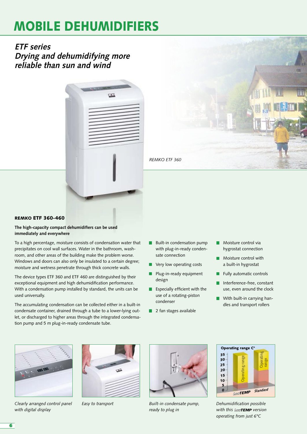**ETF series Drying and dehumidifying more reliable than sun and wind**





### REMKO ETF 360-460

#### **The high-capacity compact dehumidifiers can be used immediately and everywhere**

To a high percentage, moisture consists of condensation water that precipitates on cool wall surfaces. Water in the bathroom, washroom, and other areas of the building make the problem worse. Windows and doors can also only be insulated to a certain degree; moisture and wetness penetrate through thick concrete walls.

The device types ETF 360 and ETF 460 are distinguished by their exceptional equipment and high dehumidification performance. With a condensation pump installed by standard, the units can be used universally.

The accumulating condensation can be collected either in a built-in condensate container, drained through a tube to a lower-lying outlet, or discharged to higher areas through the integrated condensation pump and 5 m plug-in-ready condensate tube.

- **Built-in condensation pump** with plug-in-ready condensate connection
- **Very low operating costs**
- **Plug-in-ready equipment** design
- $E$  Especially efficient with the use of a rotating-piston condenser
- **2** fan stages available
- **Moisture control via** hygrostat connection
- **Moisture control with** a built-in hygrostat
- Fully automatic controls
- Interference-free, constant use, even around the clock
- With built-in carrying handles and transport rollers



*Clearly arranged control panel with digital display*





*Easy to transport Built-in condensate pump, ready to plug in*



*Dehumidification possible*  with this LowTEMP version *operating from just 6°C*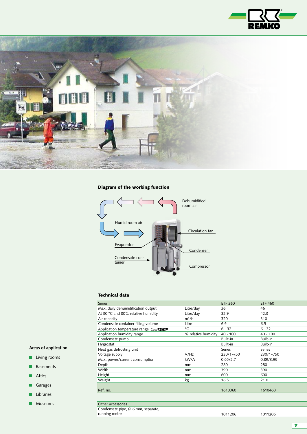



# Diagram of the working function



#### Technical data

| <b>Series</b>                         |                     | <b>ETF 360</b> | <b>ETF 460</b> |
|---------------------------------------|---------------------|----------------|----------------|
| Max. daily dehumidification output    | Litre/day           | 36             | 46             |
| At 30 °C and 80% relative humidity    | Litre/day           | 32.9           | 42.3           |
| Air capacity                          | $m^3/h$             | 320            | 310            |
| Condensate container filling volume   | Litre               | 6.5            | 6.5            |
| Application temperature range LowTEMP | °C                  | $6 - 32$       | $6 - 32$       |
| Application humidity range            | % relative humidity | $40 - 100$     | $40 - 100$     |
| Condensate pump                       |                     | Built-in       | Built-in       |
| Hygrostat                             |                     | Built-in       | Built-in       |
| Heat gas defrosting unit              |                     | Series         | Series         |
| Voltage supply                        | V/Hz                | $230/1 - 750$  | $230/1 - 50$   |
| Max. power/current consumption        | kW/A                | 0.55/2.7       | 0.89/3.95      |
| Depth                                 | mm                  | 280            | 280            |
| Width                                 | mm                  | 390            | 390            |
| Height                                | mm                  | 600            | 600            |
| Weight                                | kg                  | 16.5           | 21.0           |
|                                       |                     |                |                |
| Ref. no.                              |                     | 1610360        | 1610460        |
|                                       |                     |                |                |
|                                       |                     |                |                |
| Other accessories<br>$\sim$ $\sim$    |                     |                |                |

# **Areas of application**

- **Living rooms**
- **Basements**
- **Attics**
- Garages
- **Libraries**
- **Museums**

Condensate pipe, Ø 6 mm, separate, running metre 1011206 1011206

7